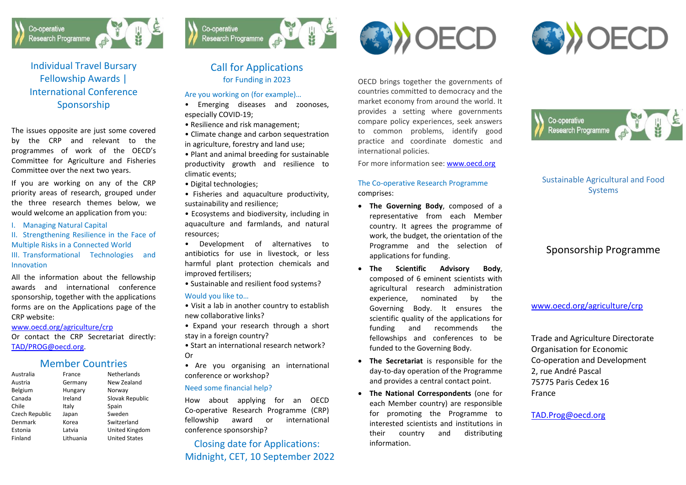

Individual Travel Bursary Fellowship Awards | International Conference Sponsorship

The issues opposite are just some covered by the CRP and relevant to the programmes of work of the OECD's Committee for Agriculture and Fisheries Committee over the next two years.

If you are working on any of the CRP priority areas of research, grouped under the three research themes below, we would welcome an application from you:

I. Managing Natural Capital

II. Strengthening Resilience in the Face of Multiple Risks in a Connected World III. Transformational Technologies and Innovation

All the information about the fellowship awards and international conference sponsorship, together with the applications forms are on the Applications page of the CRP website:

[www.oecd.org/agriculture/crp](http://www.oecd.org/agriculture/crp)

Or contact the CRP Secretariat directly: [TAD/PROG@oecd.org.](mailto:TAD/PROG@oecd.org)

### Member Countries

| Australia      | France    | <b>Netherlands</b>   |
|----------------|-----------|----------------------|
| Austria        | Germany   | New Zealand          |
| Belgium        | Hungary   | Norway               |
| Canada         | Ireland   | Slovak Republic      |
| Chile          | Italy     | Spain                |
| Czech Republic | Japan     | Sweden               |
| Denmark        | Korea     | Switzerland          |
| Estonia        | Latvia    | United Kingdom       |
| Finland        | Lithuania | <b>United States</b> |
|                |           |                      |



# Call for Applications for Funding in 2023

#### Are you working on (for example)…

- Emerging diseases and zoonoses, especially COVID-19;
- Resilience and risk management;
- Climate change and carbon sequestration in agriculture, forestry and land use;
- Plant and animal breeding for sustainable productivity growth and resilience to climatic events;
- Digital technologies;

Co-operative

**Research Programme** 

- Fisheries and aquaculture productivity, sustainability and resilience;
- Ecosystems and biodiversity, including in aquaculture and farmlands, and natural resources;
- Development of alternatives to antibiotics for use in livestock, or less harmful plant protection chemicals and improved fertilisers;
- Sustainable and resilient food systems?

#### Would you like to…

- Visit a lab in another country to establish new collaborative links?
- Expand your research through a short stay in a foreign country?
- Start an international research network? Or
- Are you organising an international conference or workshop?

#### Need some financial help?

How about applying for an OECD Co-operative Research Programme (CRP) fellowship award or international conference sponsorship?

## Closing date for Applications: Midnight, CET, 10 September 2022





OECD brings together the governments of countries committed to democracy and the market economy from around the world. It provides a setting where governments compare policy experiences, seek answers to common problems, identify good practice and coordinate domestic and international policies.

For more information see[: www.oecd.org](http://www.oecd.org/)

#### The Co-operative Research Programme comprises:

- **The Governing Body**, composed of a representative from each Member country. It agrees the programme of work, the budget, the orientation of the Programme and the selection of applications for funding.
- **The Scientific Advisory Body**, composed of 6 eminent scientists with agricultural research administration experience, nominated by the Governing Body. It ensures the scientific quality of the applications for funding and recommends the fellowships and conferences to be funded to the Governing Body.
- **The Secretariat** is responsible for the day-to-day operation of the Programme and provides a central contact point.
- **The National Correspondents** (one for each Member country) are responsible for promoting the Programme to interested scientists and institutions in their country and distributing information.



### Sustainable Agricultural and Food Systems

# Sponsorship Programme

[www.oecd.org/agriculture/crp](http://www.oecd.org/agriculture/crp)

Trade and Agriculture Directorate Organisation for Economic Co-operation and Development 2, rue André Pascal 75775 Paris Cedex 16 France

[TAD.Prog@oecd.org](mailto:TAD.Prog@oecd.org)